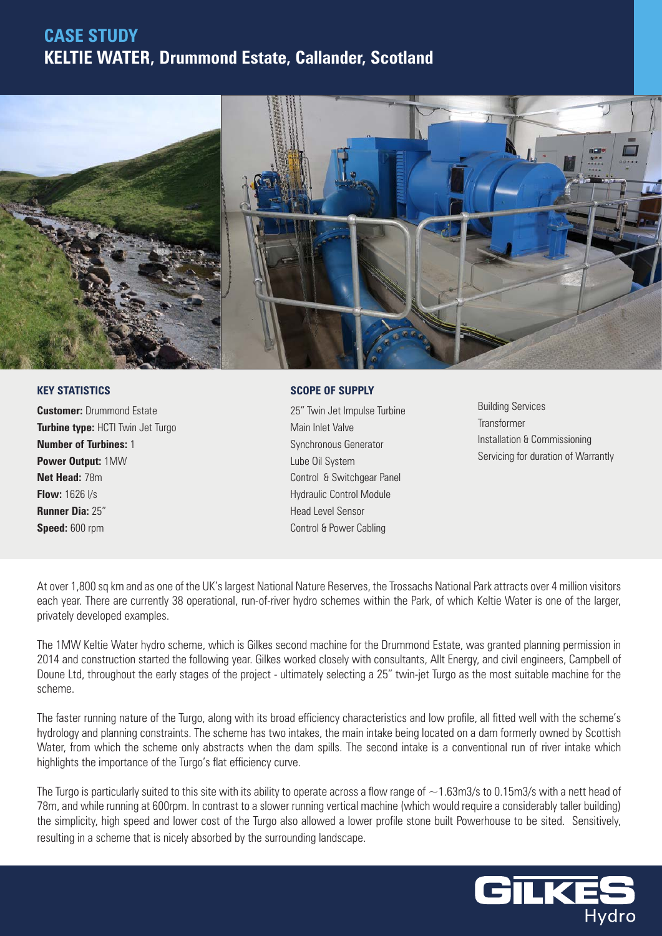## **CASE STUDY KELTIE WATER, Drummond Estate, Callander, Scotland**



## **KEY STATISTICS**

**Customer:** Drummond Estate **Turbine type:** HCTI Twin Jet Turgo **Number of Turbines:** 1 **Power Output:** 1MW **Net Head:** 78m **Flow:** 1626 l/s **Runner Dia:** 25" **Speed:** 600 rpm

## **SCOPE OF SUPPLY**

25" Twin Jet Impulse Turbine Main Inlet Valve Synchronous Generator Lube Oil System Control & Switchgear Panel Hydraulic Control Module Head Level Sensor Control & Power Cabling

Building Services Transformer Installation & Commissioning Servicing for duration of Warrantly

At over 1,800 sq km and as one of the UK's largest National Nature Reserves, the Trossachs National Park attracts over 4 million visitors each year. There are currently 38 operational, run-of-river hydro schemes within the Park, of which Keltie Water is one of the larger, privately developed examples.

The 1MW Keltie Water hydro scheme, which is Gilkes second machine for the Drummond Estate, was granted planning permission in 2014 and construction started the following year. Gilkes worked closely with consultants, Allt Energy, and civil engineers, Campbell of Doune Ltd, throughout the early stages of the project - ultimately selecting a 25" twin-jet Turgo as the most suitable machine for the scheme.

The faster running nature of the Turgo, along with its broad efficiency characteristics and low profile, all fitted well with the scheme's hydrology and planning constraints. The scheme has two intakes, the main intake being located on a dam formerly owned by Scottish Water, from which the scheme only abstracts when the dam spills. The second intake is a conventional run of river intake which highlights the importance of the Turgo's flat efficiency curve.

The Turgo is particularly suited to this site with its ability to operate across a flow range of  $\sim$ 1.63m3/s to 0.15m3/s with a nett head of 78m, and while running at 600rpm. In contrast to a slower running vertical machine (which would require a considerably taller building) the simplicity, high speed and lower cost of the Turgo also allowed a lower profile stone built Powerhouse to be sited. Sensitively, resulting in a scheme that is nicely absorbed by the surrounding landscape.